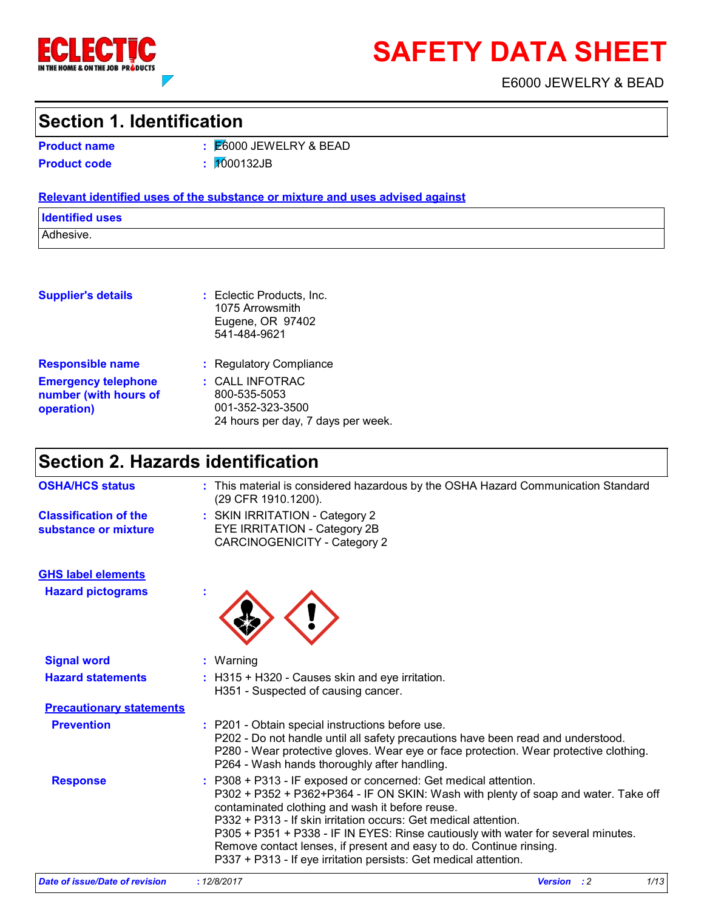

# **SAFETY DATA SHEET**

E6000 JEWELRY & BEAD

# **Section 1. Identification**

**Product name**

E6000 JEWELRY & BEAD **: Product code :** 1000132JB

#### **Relevant identified uses of the substance or mixture and uses advised against**

**Identified uses**

Adhesive.

|  |  |  | <b>Supplier's details</b> |  |
|--|--|--|---------------------------|--|
|  |  |  |                           |  |

**Supplier's details :** Eclectic Products, Inc. 1075 Arrowsmith Eugene, OR 97402 541-484-9621

- **Emergency telephone number (with hours of operation)**
- **:** CALL INFOTRAC 800-535-5053 **Responsible name :** Regulatory Compliance
	- 001-352-323-3500 24 hours per day, 7 days per week.

# **Section 2. Hazards identification**

| <b>OSHA/HCS status</b>                               | : This material is considered hazardous by the OSHA Hazard Communication Standard<br>(29 CFR 1910.1200).                                                                                                                                                                                                                                                                                                                                                                                                    |
|------------------------------------------------------|-------------------------------------------------------------------------------------------------------------------------------------------------------------------------------------------------------------------------------------------------------------------------------------------------------------------------------------------------------------------------------------------------------------------------------------------------------------------------------------------------------------|
| <b>Classification of the</b><br>substance or mixture | : SKIN IRRITATION - Category 2<br>EYE IRRITATION - Category 2B<br><b>CARCINOGENICITY - Category 2</b>                                                                                                                                                                                                                                                                                                                                                                                                       |
| <b>GHS label elements</b>                            |                                                                                                                                                                                                                                                                                                                                                                                                                                                                                                             |
| <b>Hazard pictograms</b>                             |                                                                                                                                                                                                                                                                                                                                                                                                                                                                                                             |
| <b>Signal word</b>                                   | $:$ Warning                                                                                                                                                                                                                                                                                                                                                                                                                                                                                                 |
| <b>Hazard statements</b>                             | : H315 + H320 - Causes skin and eye irritation.<br>H351 - Suspected of causing cancer.                                                                                                                                                                                                                                                                                                                                                                                                                      |
| <b>Precautionary statements</b>                      |                                                                                                                                                                                                                                                                                                                                                                                                                                                                                                             |
| <b>Prevention</b>                                    | : P201 - Obtain special instructions before use.<br>P202 - Do not handle until all safety precautions have been read and understood.<br>P280 - Wear protective gloves. Wear eye or face protection. Wear protective clothing.<br>P264 - Wash hands thoroughly after handling.                                                                                                                                                                                                                               |
| <b>Response</b>                                      | : P308 + P313 - IF exposed or concerned: Get medical attention.<br>P302 + P352 + P362+P364 - IF ON SKIN: Wash with plenty of soap and water. Take off<br>contaminated clothing and wash it before reuse.<br>P332 + P313 - If skin irritation occurs: Get medical attention.<br>P305 + P351 + P338 - IF IN EYES: Rinse cautiously with water for several minutes.<br>Remove contact lenses, if present and easy to do. Continue rinsing.<br>P337 + P313 - If eye irritation persists: Get medical attention. |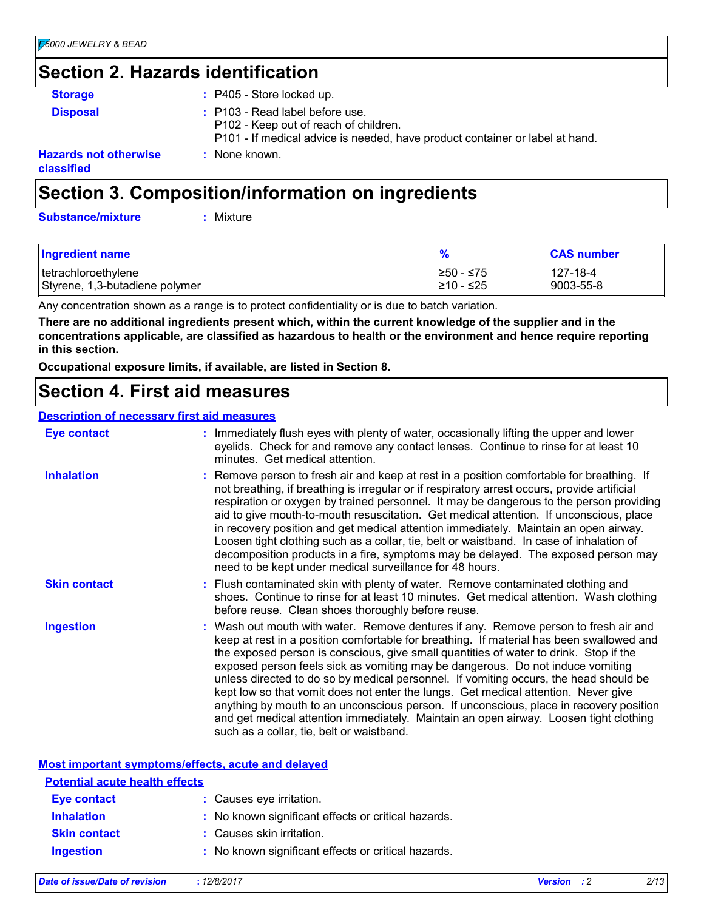# **Section 2. Hazards identification**

| <b>Storage</b>                             | : P405 - Store locked up.                                                                                                                                |
|--------------------------------------------|----------------------------------------------------------------------------------------------------------------------------------------------------------|
| <b>Disposal</b>                            | : P103 - Read label before use.<br>P102 - Keep out of reach of children.<br>P101 - If medical advice is needed, have product container or label at hand. |
| <b>Hazards not otherwise</b><br>classified | : None known.                                                                                                                                            |
|                                            |                                                                                                                                                          |

# **Section 3. Composition/information on ingredients**

**Substance/mixture :**

Mixture

| <b>Ingredient name</b>         | $\frac{9}{6}$ | <b>CAS number</b> |
|--------------------------------|---------------|-------------------|
| tetrachloroethylene            | I≥50 - ≤75    | 127-18-4          |
| Styrene, 1,3-butadiene polymer | 1≥10 - ≤25    | 9003-55-8         |

Any concentration shown as a range is to protect confidentiality or is due to batch variation.

**There are no additional ingredients present which, within the current knowledge of the supplier and in the concentrations applicable, are classified as hazardous to health or the environment and hence require reporting in this section.**

**Occupational exposure limits, if available, are listed in Section 8.**

### **Section 4. First aid measures**

#### **Description of necessary first aid measures**

| <b>Eye contact</b>  | : Immediately flush eyes with plenty of water, occasionally lifting the upper and lower<br>eyelids. Check for and remove any contact lenses. Continue to rinse for at least 10<br>minutes. Get medical attention.                                                                                                                                                                                                                                                                                                                                                                                                                                                                                                                                                         |
|---------------------|---------------------------------------------------------------------------------------------------------------------------------------------------------------------------------------------------------------------------------------------------------------------------------------------------------------------------------------------------------------------------------------------------------------------------------------------------------------------------------------------------------------------------------------------------------------------------------------------------------------------------------------------------------------------------------------------------------------------------------------------------------------------------|
| <b>Inhalation</b>   | : Remove person to fresh air and keep at rest in a position comfortable for breathing. If<br>not breathing, if breathing is irregular or if respiratory arrest occurs, provide artificial<br>respiration or oxygen by trained personnel. It may be dangerous to the person providing<br>aid to give mouth-to-mouth resuscitation. Get medical attention. If unconscious, place<br>in recovery position and get medical attention immediately. Maintain an open airway.<br>Loosen tight clothing such as a collar, tie, belt or waistband. In case of inhalation of<br>decomposition products in a fire, symptoms may be delayed. The exposed person may<br>need to be kept under medical surveillance for 48 hours.                                                       |
| <b>Skin contact</b> | : Flush contaminated skin with plenty of water. Remove contaminated clothing and<br>shoes. Continue to rinse for at least 10 minutes. Get medical attention. Wash clothing<br>before reuse. Clean shoes thoroughly before reuse.                                                                                                                                                                                                                                                                                                                                                                                                                                                                                                                                          |
| <b>Ingestion</b>    | : Wash out mouth with water. Remove dentures if any. Remove person to fresh air and<br>keep at rest in a position comfortable for breathing. If material has been swallowed and<br>the exposed person is conscious, give small quantities of water to drink. Stop if the<br>exposed person feels sick as vomiting may be dangerous. Do not induce vomiting<br>unless directed to do so by medical personnel. If vomiting occurs, the head should be<br>kept low so that vomit does not enter the lungs. Get medical attention. Never give<br>anything by mouth to an unconscious person. If unconscious, place in recovery position<br>and get medical attention immediately. Maintain an open airway. Loosen tight clothing<br>such as a collar, tie, belt or waistband. |

#### **Most important symptoms/effects, acute and delayed**

| <b>Potential acute health effects</b> |                                                     |
|---------------------------------------|-----------------------------------------------------|
| Eye contact                           | : Causes eye irritation.                            |
| <b>Inhalation</b>                     | : No known significant effects or critical hazards. |
| <b>Skin contact</b>                   | : Causes skin irritation.                           |
| <b>Ingestion</b>                      | : No known significant effects or critical hazards. |

| Date of issue/Date of revision | : 12/8/2017 | <b>Version</b> : 2 | 2/13 |
|--------------------------------|-------------|--------------------|------|
|                                |             |                    |      |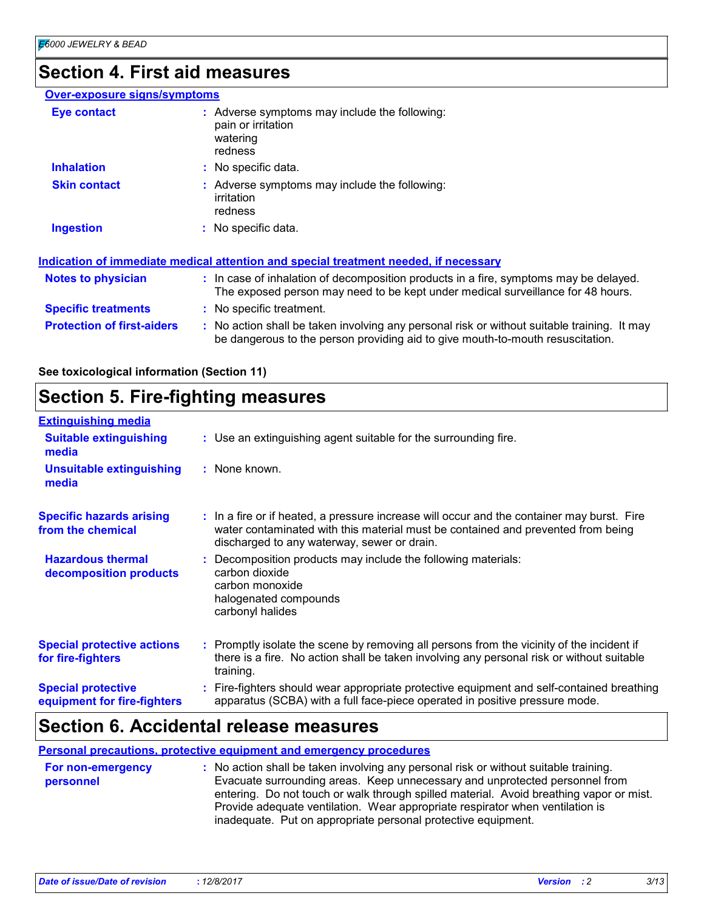# **Section 4. First aid measures**

| : Adverse symptoms may include the following:<br><b>Eye contact</b><br>pain or irritation<br>watering<br>redness<br><b>Inhalation</b><br>: No specific data.<br>: Adverse symptoms may include the following:<br><b>Skin contact</b><br>irritation<br>redness<br><b>Ingestion</b><br>: No specific data.<br>Indication of immediate medical attention and special treatment needed, if necessary<br>: In case of inhalation of decomposition products in a fire, symptoms may be delayed.<br><b>Notes to physician</b><br>The exposed person may need to be kept under medical surveillance for 48 hours.<br><b>Specific treatments</b><br>: No specific treatment.<br><b>Protection of first-aiders</b><br>: No action shall be taken involving any personal risk or without suitable training. It may<br>be dangerous to the person providing aid to give mouth-to-mouth resuscitation. | <b>Over-exposure signs/symptoms</b> |  |
|-------------------------------------------------------------------------------------------------------------------------------------------------------------------------------------------------------------------------------------------------------------------------------------------------------------------------------------------------------------------------------------------------------------------------------------------------------------------------------------------------------------------------------------------------------------------------------------------------------------------------------------------------------------------------------------------------------------------------------------------------------------------------------------------------------------------------------------------------------------------------------------------|-------------------------------------|--|
|                                                                                                                                                                                                                                                                                                                                                                                                                                                                                                                                                                                                                                                                                                                                                                                                                                                                                           |                                     |  |
|                                                                                                                                                                                                                                                                                                                                                                                                                                                                                                                                                                                                                                                                                                                                                                                                                                                                                           |                                     |  |
|                                                                                                                                                                                                                                                                                                                                                                                                                                                                                                                                                                                                                                                                                                                                                                                                                                                                                           |                                     |  |
|                                                                                                                                                                                                                                                                                                                                                                                                                                                                                                                                                                                                                                                                                                                                                                                                                                                                                           |                                     |  |
|                                                                                                                                                                                                                                                                                                                                                                                                                                                                                                                                                                                                                                                                                                                                                                                                                                                                                           |                                     |  |
|                                                                                                                                                                                                                                                                                                                                                                                                                                                                                                                                                                                                                                                                                                                                                                                                                                                                                           |                                     |  |
|                                                                                                                                                                                                                                                                                                                                                                                                                                                                                                                                                                                                                                                                                                                                                                                                                                                                                           |                                     |  |
|                                                                                                                                                                                                                                                                                                                                                                                                                                                                                                                                                                                                                                                                                                                                                                                                                                                                                           |                                     |  |

**See toxicological information (Section 11)**

# **Section 5. Fire-fighting measures**

| <b>Extinguishing media</b>                               |                                                                                                                                                                                                                               |
|----------------------------------------------------------|-------------------------------------------------------------------------------------------------------------------------------------------------------------------------------------------------------------------------------|
| <b>Suitable extinguishing</b><br>media                   | : Use an extinguishing agent suitable for the surrounding fire.                                                                                                                                                               |
| <b>Unsuitable extinguishing</b><br>media                 | : None known.                                                                                                                                                                                                                 |
| <b>Specific hazards arising</b><br>from the chemical     | : In a fire or if heated, a pressure increase will occur and the container may burst. Fire<br>water contaminated with this material must be contained and prevented from being<br>discharged to any waterway, sewer or drain. |
| <b>Hazardous thermal</b><br>decomposition products       | Decomposition products may include the following materials:<br>carbon dioxide<br>carbon monoxide<br>halogenated compounds<br>carbonyl halides                                                                                 |
| <b>Special protective actions</b><br>for fire-fighters   | : Promptly isolate the scene by removing all persons from the vicinity of the incident if<br>there is a fire. No action shall be taken involving any personal risk or without suitable<br>training.                           |
| <b>Special protective</b><br>equipment for fire-fighters | Fire-fighters should wear appropriate protective equipment and self-contained breathing<br>apparatus (SCBA) with a full face-piece operated in positive pressure mode.                                                        |

# **Section 6. Accidental release measures**

**Personal precautions, protective equipment and emergency procedures**

| <b>For non-emergency</b> | : No action shall be taken involving any personal risk or without suitable training.    |
|--------------------------|-----------------------------------------------------------------------------------------|
| personnel                | Evacuate surrounding areas. Keep unnecessary and unprotected personnel from             |
|                          | entering. Do not touch or walk through spilled material. Avoid breathing vapor or mist. |
|                          | Provide adequate ventilation. Wear appropriate respirator when ventilation is           |
|                          | inadequate. Put on appropriate personal protective equipment.                           |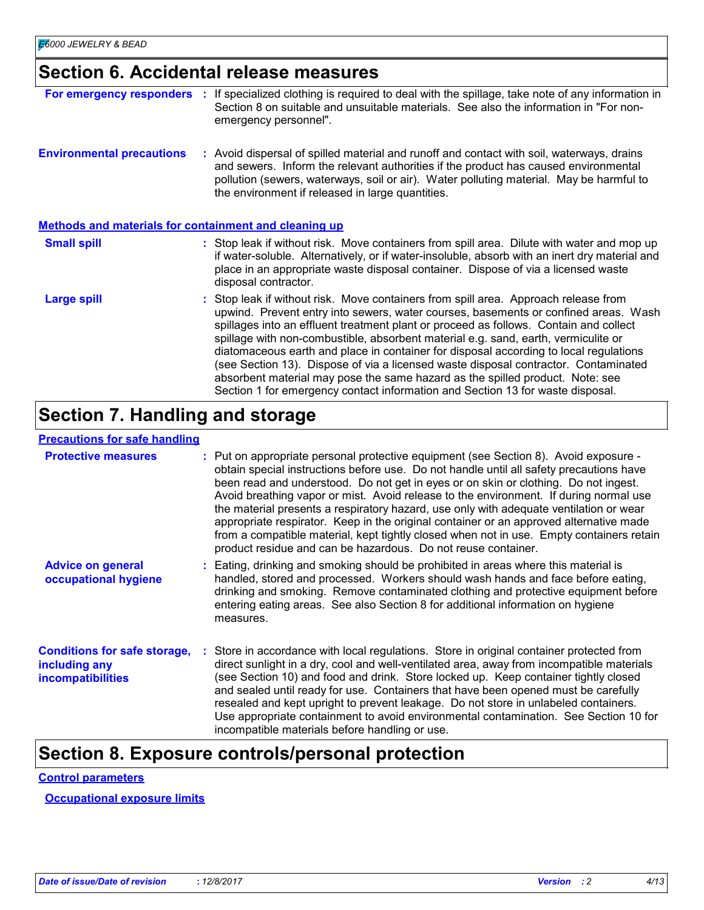# **Section 6. Accidental release measures**

| For emergency responders                                     | If specialized clothing is required to deal with the spillage, take note of any information in<br>Section 8 on suitable and unsuitable materials. See also the information in "For non-<br>emergency personnel".                                                                                                                                                                                                                                                                                                                                                                                                                                                                                             |
|--------------------------------------------------------------|--------------------------------------------------------------------------------------------------------------------------------------------------------------------------------------------------------------------------------------------------------------------------------------------------------------------------------------------------------------------------------------------------------------------------------------------------------------------------------------------------------------------------------------------------------------------------------------------------------------------------------------------------------------------------------------------------------------|
| <b>Environmental precautions</b>                             | : Avoid dispersal of spilled material and runoff and contact with soil, waterways, drains<br>and sewers. Inform the relevant authorities if the product has caused environmental<br>pollution (sewers, waterways, soil or air). Water polluting material. May be harmful to<br>the environment if released in large quantities.                                                                                                                                                                                                                                                                                                                                                                              |
| <b>Methods and materials for containment and cleaning up</b> |                                                                                                                                                                                                                                                                                                                                                                                                                                                                                                                                                                                                                                                                                                              |
| <b>Small spill</b>                                           | : Stop leak if without risk. Move containers from spill area. Dilute with water and mop up<br>if water-soluble. Alternatively, or if water-insoluble, absorb with an inert dry material and<br>place in an appropriate waste disposal container. Dispose of via a licensed waste<br>disposal contractor.                                                                                                                                                                                                                                                                                                                                                                                                     |
| <b>Large spill</b>                                           | : Stop leak if without risk. Move containers from spill area. Approach release from<br>upwind. Prevent entry into sewers, water courses, basements or confined areas. Wash<br>spillages into an effluent treatment plant or proceed as follows. Contain and collect<br>spillage with non-combustible, absorbent material e.g. sand, earth, vermiculite or<br>diatomaceous earth and place in container for disposal according to local regulations<br>(see Section 13). Dispose of via a licensed waste disposal contractor. Contaminated<br>absorbent material may pose the same hazard as the spilled product. Note: see<br>Section 1 for emergency contact information and Section 13 for waste disposal. |

# **Section 7. Handling and storage**

### **Precautions for safe handling**

| <b>Protective measures</b>                                                       | : Put on appropriate personal protective equipment (see Section 8). Avoid exposure -<br>obtain special instructions before use. Do not handle until all safety precautions have<br>been read and understood. Do not get in eyes or on skin or clothing. Do not ingest.<br>Avoid breathing vapor or mist. Avoid release to the environment. If during normal use<br>the material presents a respiratory hazard, use only with adequate ventilation or wear<br>appropriate respirator. Keep in the original container or an approved alternative made<br>from a compatible material, kept tightly closed when not in use. Empty containers retain<br>product residue and can be hazardous. Do not reuse container. |
|----------------------------------------------------------------------------------|------------------------------------------------------------------------------------------------------------------------------------------------------------------------------------------------------------------------------------------------------------------------------------------------------------------------------------------------------------------------------------------------------------------------------------------------------------------------------------------------------------------------------------------------------------------------------------------------------------------------------------------------------------------------------------------------------------------|
| <b>Advice on general</b><br>occupational hygiene                                 | : Eating, drinking and smoking should be prohibited in areas where this material is<br>handled, stored and processed. Workers should wash hands and face before eating,<br>drinking and smoking. Remove contaminated clothing and protective equipment before<br>entering eating areas. See also Section 8 for additional information on hygiene<br>measures.                                                                                                                                                                                                                                                                                                                                                    |
| <b>Conditions for safe storage,</b><br>including any<br><i>incompatibilities</i> | : Store in accordance with local regulations. Store in original container protected from<br>direct sunlight in a dry, cool and well-ventilated area, away from incompatible materials<br>(see Section 10) and food and drink. Store locked up. Keep container tightly closed<br>and sealed until ready for use. Containers that have been opened must be carefully<br>resealed and kept upright to prevent leakage. Do not store in unlabeled containers.<br>Use appropriate containment to avoid environmental contamination. See Section 10 for<br>incompatible materials before handling or use.                                                                                                              |

# **Section 8. Exposure controls/personal protection**

#### **Control parameters**

**Occupational exposure limits**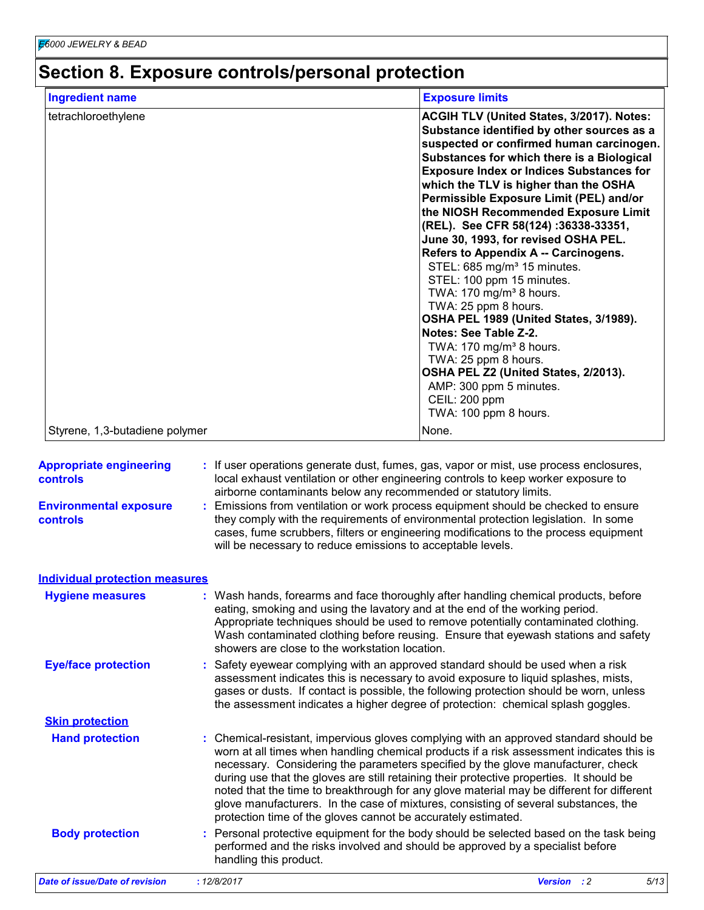# **Section 8. Exposure controls/personal protection**

| <b>Ingredient name</b>         | <b>Exposure limits</b>                                                                                                                                                                                                                                                                                                                                                                                                                                                                                                                                                                                                                                                                                                                                                                                                                                                                   |
|--------------------------------|------------------------------------------------------------------------------------------------------------------------------------------------------------------------------------------------------------------------------------------------------------------------------------------------------------------------------------------------------------------------------------------------------------------------------------------------------------------------------------------------------------------------------------------------------------------------------------------------------------------------------------------------------------------------------------------------------------------------------------------------------------------------------------------------------------------------------------------------------------------------------------------|
| tetrachloroethylene            | <b>ACGIH TLV (United States, 3/2017). Notes:</b><br>Substance identified by other sources as a<br>suspected or confirmed human carcinogen.<br>Substances for which there is a Biological<br><b>Exposure Index or Indices Substances for</b><br>which the TLV is higher than the OSHA<br>Permissible Exposure Limit (PEL) and/or<br>the NIOSH Recommended Exposure Limit<br>(REL). See CFR 58(124):36338-33351,<br>June 30, 1993, for revised OSHA PEL.<br>Refers to Appendix A -- Carcinogens.<br>STEL: 685 mg/m <sup>3</sup> 15 minutes.<br>STEL: 100 ppm 15 minutes.<br>TWA: $170$ mg/m <sup>3</sup> 8 hours.<br>TWA: 25 ppm 8 hours.<br>OSHA PEL 1989 (United States, 3/1989).<br>Notes: See Table Z-2.<br>TWA: $170$ mg/m <sup>3</sup> 8 hours.<br>TWA: 25 ppm 8 hours.<br>OSHA PEL Z2 (United States, 2/2013).<br>AMP: 300 ppm 5 minutes.<br>CEIL: 200 ppm<br>TWA: 100 ppm 8 hours. |
| Styrene, 1,3-butadiene polymer | None.                                                                                                                                                                                                                                                                                                                                                                                                                                                                                                                                                                                                                                                                                                                                                                                                                                                                                    |

| <b>Date of issue/Date of revision</b>                 | 5/13<br>Version : 2<br>: 12/8/2017                                                                                                                                                                                                                                                                                                                                                                                                                                                                                                                                                                                   |
|-------------------------------------------------------|----------------------------------------------------------------------------------------------------------------------------------------------------------------------------------------------------------------------------------------------------------------------------------------------------------------------------------------------------------------------------------------------------------------------------------------------------------------------------------------------------------------------------------------------------------------------------------------------------------------------|
| <b>Body protection</b>                                | Personal protective equipment for the body should be selected based on the task being<br>performed and the risks involved and should be approved by a specialist before<br>handling this product.                                                                                                                                                                                                                                                                                                                                                                                                                    |
| <b>Skin protection</b><br><b>Hand protection</b>      | Chemical-resistant, impervious gloves complying with an approved standard should be<br>worn at all times when handling chemical products if a risk assessment indicates this is<br>necessary. Considering the parameters specified by the glove manufacturer, check<br>during use that the gloves are still retaining their protective properties. It should be<br>noted that the time to breakthrough for any glove material may be different for different<br>glove manufacturers. In the case of mixtures, consisting of several substances, the<br>protection time of the gloves cannot be accurately estimated. |
|                                                       | assessment indicates this is necessary to avoid exposure to liquid splashes, mists,<br>gases or dusts. If contact is possible, the following protection should be worn, unless<br>the assessment indicates a higher degree of protection: chemical splash goggles.                                                                                                                                                                                                                                                                                                                                                   |
| <b>Hygiene measures</b><br><b>Eye/face protection</b> | Wash hands, forearms and face thoroughly after handling chemical products, before<br>eating, smoking and using the lavatory and at the end of the working period.<br>Appropriate techniques should be used to remove potentially contaminated clothing.<br>Wash contaminated clothing before reusing. Ensure that eyewash stations and safety<br>showers are close to the workstation location.<br>Safety eyewear complying with an approved standard should be used when a risk                                                                                                                                     |
| <b>Individual protection measures</b>                 |                                                                                                                                                                                                                                                                                                                                                                                                                                                                                                                                                                                                                      |
| <b>Environmental exposure</b><br>controls             | airborne contaminants below any recommended or statutory limits.<br>Emissions from ventilation or work process equipment should be checked to ensure<br>they comply with the requirements of environmental protection legislation. In some<br>cases, fume scrubbers, filters or engineering modifications to the process equipment<br>will be necessary to reduce emissions to acceptable levels.                                                                                                                                                                                                                    |
| <b>Appropriate engineering</b><br><b>controls</b>     | : If user operations generate dust, fumes, gas, vapor or mist, use process enclosures,<br>local exhaust ventilation or other engineering controls to keep worker exposure to                                                                                                                                                                                                                                                                                                                                                                                                                                         |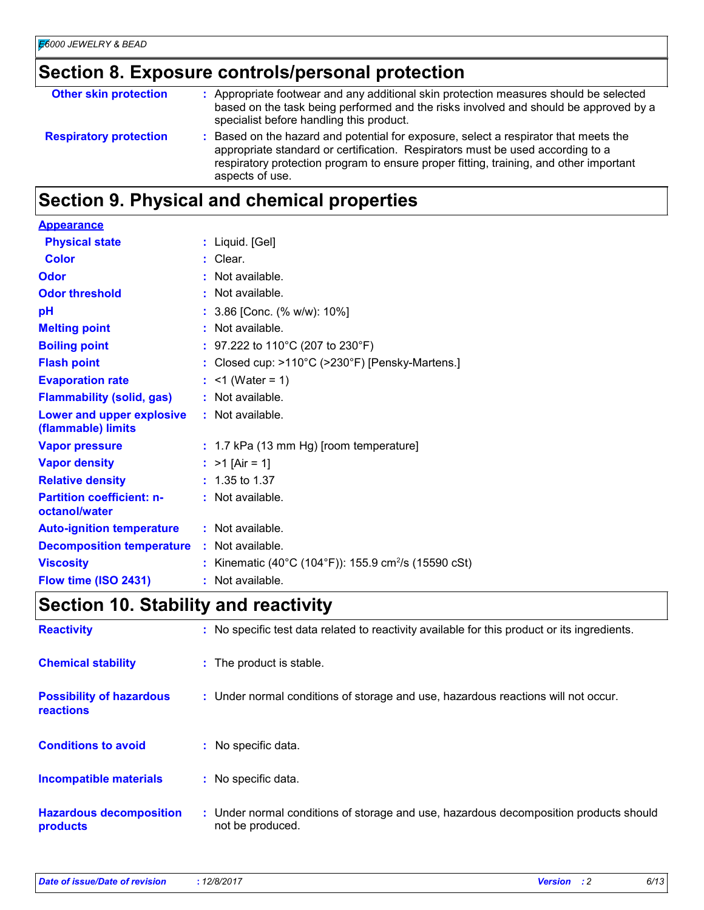# **Section 8. Exposure controls/personal protection**

| <b>Other skin protection</b>  | : Appropriate footwear and any additional skin protection measures should be selected<br>based on the task being performed and the risks involved and should be approved by a<br>specialist before handling this product.                                                           |
|-------------------------------|-------------------------------------------------------------------------------------------------------------------------------------------------------------------------------------------------------------------------------------------------------------------------------------|
| <b>Respiratory protection</b> | : Based on the hazard and potential for exposure, select a respirator that meets the<br>appropriate standard or certification. Respirators must be used according to a<br>respiratory protection program to ensure proper fitting, training, and other important<br>aspects of use. |

# **Section 9. Physical and chemical properties**

| <b>Appearance</b>                                 |                                                                      |
|---------------------------------------------------|----------------------------------------------------------------------|
| <b>Physical state</b>                             | : Liquid. [Gel]                                                      |
| <b>Color</b>                                      | : Clear.                                                             |
| Odor                                              | : Not available.                                                     |
| <b>Odor threshold</b>                             | : Not available.                                                     |
| рH                                                | : 3.86 [Conc. (% w/w): 10%]                                          |
| <b>Melting point</b>                              | $:$ Not available.                                                   |
| <b>Boiling point</b>                              | : 97.222 to 110°C (207 to 230°F)                                     |
| <b>Flash point</b>                                | : Closed cup: $>110^{\circ}$ C ( $>230^{\circ}$ F) [Pensky-Martens.] |
| <b>Evaporation rate</b>                           | : $<$ 1 (Water = 1)                                                  |
| <b>Flammability (solid, gas)</b>                  | : Not available.                                                     |
| Lower and upper explosive<br>(flammable) limits   | $:$ Not available.                                                   |
| <b>Vapor pressure</b>                             | $: 1.7$ kPa (13 mm Hg) [room temperature]                            |
| <b>Vapor density</b>                              | : $>1$ [Air = 1]                                                     |
| <b>Relative density</b>                           | $: 1.35$ to 1.37                                                     |
| <b>Partition coefficient: n-</b><br>octanol/water | : Not available.                                                     |
| <b>Auto-ignition temperature</b>                  | $:$ Not available.                                                   |
| <b>Decomposition temperature : Not available.</b> |                                                                      |
| <b>Viscosity</b>                                  | : Kinematic (40°C (104°F)): 155.9 cm <sup>2</sup> /s (15590 cSt)     |
| Flow time (ISO 2431)                              | : Not available.                                                     |

# **Section 10. Stability and reactivity**

| <b>Reactivity</b>                            | : No specific test data related to reactivity available for this product or its ingredients.              |
|----------------------------------------------|-----------------------------------------------------------------------------------------------------------|
| <b>Chemical stability</b>                    | : The product is stable.                                                                                  |
| <b>Possibility of hazardous</b><br>reactions | : Under normal conditions of storage and use, hazardous reactions will not occur.                         |
| <b>Conditions to avoid</b>                   | No specific data.                                                                                         |
| Incompatible materials                       | : No specific data.                                                                                       |
| <b>Hazardous decomposition</b><br>products   | : Under normal conditions of storage and use, hazardous decomposition products should<br>not be produced. |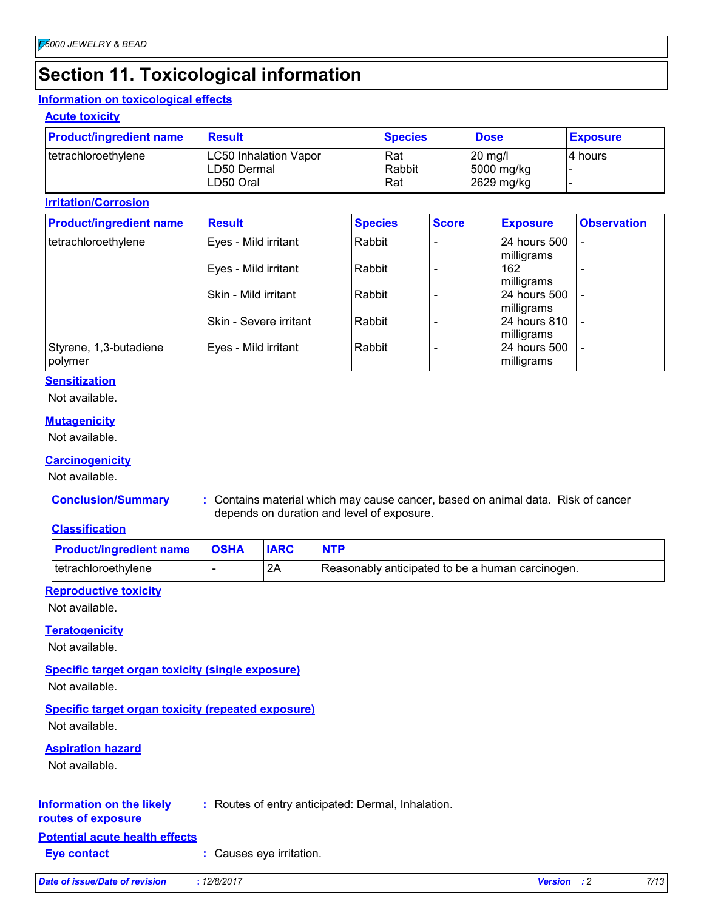# **Section 11. Toxicological information**

#### **Information on toxicological effects**

#### **Acute toxicity**

| <b>Product/ingredient name</b> | <b>Result</b>                | <b>Species</b> | <b>Dose</b> | <b>Exposure</b> |
|--------------------------------|------------------------------|----------------|-------------|-----------------|
| tetrachloroethylene            | <b>LC50 Inhalation Vapor</b> | Rat            | 120 ma/l    | 14 hours        |
|                                | ILD50 Dermal                 | Rabbit         | 5000 mg/kg  |                 |
|                                | LD50 Oral                    | Rat            | 2629 mg/kg  |                 |

#### **Irritation/Corrosion**

| <b>Product/ingredient name</b>    | <b>Result</b>          | <b>Species</b> | <b>Score</b> | <b>Exposure</b>            | <b>Observation</b> |
|-----------------------------------|------------------------|----------------|--------------|----------------------------|--------------------|
| tetrachloroethylene               | Eyes - Mild irritant   | Rabbit         |              | 24 hours 500<br>milligrams |                    |
|                                   | Eyes - Mild irritant   | Rabbit         |              | 162<br>milligrams          |                    |
|                                   | Skin - Mild irritant   | Rabbit         |              | 24 hours 500<br>milligrams |                    |
|                                   | Skin - Severe irritant | l Rabbit       |              | 24 hours 810<br>milligrams |                    |
| Styrene, 1,3-butadiene<br>polymer | Eyes - Mild irritant   | Rabbit         |              | 24 hours 500<br>milligrams |                    |

#### **Sensitization**

Not available.

#### **Mutagenicity**

Not available.

#### **Carcinogenicity**

Not available.

**Conclusion/Summary :** Contains material which may cause cancer, based on animal data. Risk of cancer depends on duration and level of exposure.

#### **Classification**

| <b>Product/ingredient name</b> | <b>OSHA</b> | <b>IARC</b> |                                                  |
|--------------------------------|-------------|-------------|--------------------------------------------------|
| tetrachloroethylene            |             | -2A         | Reasonably anticipated to be a human carcinogen. |

#### **Reproductive toxicity**

Not available.

#### **Teratogenicity**

Not available.

#### **Specific target organ toxicity (single exposure)**

Not available.

#### **Specific target organ toxicity (repeated exposure)** Not available.

**Aspiration hazard**

Not available.

#### **Information on the likely :** Routes of entry anticipated: Dermal, Inhalation.

### **routes of exposure**

- **Potential acute health effects**
- **Eye contact :** Causes eye irritation.

| Date of issue/Date of revision | 12/8/2017 | <b>Version</b> | 7/13 |
|--------------------------------|-----------|----------------|------|
|                                |           |                |      |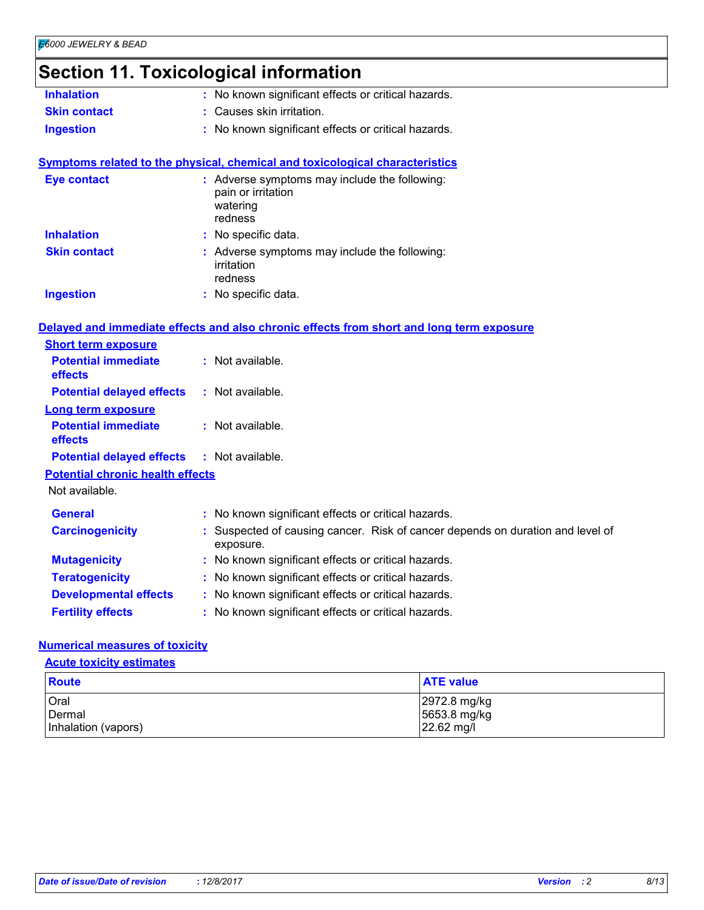# **Section 11. Toxicological information**

|                                         | <u>onon in romoologioarmonimanon</u>                                                        |
|-----------------------------------------|---------------------------------------------------------------------------------------------|
| <b>Inhalation</b>                       | : No known significant effects or critical hazards.                                         |
| <b>Skin contact</b>                     | : Causes skin irritation.                                                                   |
| <b>Ingestion</b>                        | : No known significant effects or critical hazards.                                         |
|                                         | Symptoms related to the physical, chemical and toxicological characteristics                |
| <b>Eye contact</b>                      | : Adverse symptoms may include the following:<br>pain or irritation<br>watering<br>redness  |
| <b>Inhalation</b>                       | : No specific data.                                                                         |
| <b>Skin contact</b>                     | : Adverse symptoms may include the following:<br>irritation<br>redness                      |
| <b>Ingestion</b>                        | : No specific data.                                                                         |
|                                         | Delayed and immediate effects and also chronic effects from short and long term exposure    |
| <b>Short term exposure</b>              |                                                                                             |
| <b>Potential immediate</b><br>effects   | : Not available.                                                                            |
| <b>Potential delayed effects</b>        | : Not available.                                                                            |
| Long term exposure                      |                                                                                             |
| <b>Potential immediate</b><br>effects   | : Not available.                                                                            |
| <b>Potential delayed effects</b>        | : Not available.                                                                            |
| <b>Potential chronic health effects</b> |                                                                                             |
| Not available.                          |                                                                                             |
| <b>General</b>                          | : No known significant effects or critical hazards.                                         |
| <b>Carcinogenicity</b>                  | : Suspected of causing cancer. Risk of cancer depends on duration and level of<br>exposure. |
| <b>Mutagenicity</b>                     | : No known significant effects or critical hazards.                                         |
| <b>Teratogenicity</b>                   | : No known significant effects or critical hazards.                                         |
| <b>Developmental effects</b>            | : No known significant effects or critical hazards.                                         |
| <b>Fertility effects</b>                | : No known significant effects or critical hazards.                                         |

#### **Numerical measures of toxicity**

**Acute toxicity estimates**

| Route               | <b>ATE</b> value |
|---------------------|------------------|
| Oral                | 2972.8 mg/kg     |
| Dermal              | 5653.8 mg/kg     |
| Inhalation (vapors) | 22.62 mg/l       |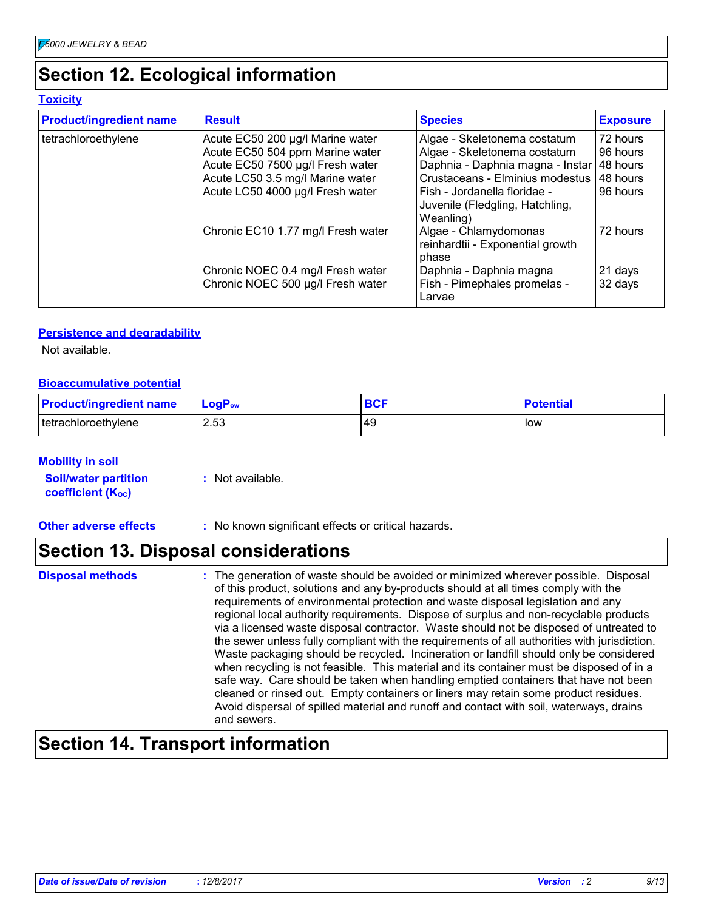# **Section 12. Ecological information**

#### **Toxicity**

| <b>Product/ingredient name</b> | <b>Result</b>                                                          | <b>Species</b>                                                               | <b>Exposure</b>    |
|--------------------------------|------------------------------------------------------------------------|------------------------------------------------------------------------------|--------------------|
| tetrachloroethylene            | Acute EC50 200 µg/l Marine water                                       | Algae - Skeletonema costatum                                                 | 72 hours           |
|                                | Acute EC50 504 ppm Marine water                                        | Algae - Skeletonema costatum                                                 | 96 hours           |
|                                | Acute EC50 7500 µg/l Fresh water                                       | Daphnia - Daphnia magna - Instar 48 hours                                    |                    |
|                                | Acute LC50 3.5 mg/l Marine water                                       | Crustaceans - Elminius modestus                                              | 48 hours           |
|                                | Acute LC50 4000 µg/l Fresh water                                       | Fish - Jordanella floridae -<br>Juvenile (Fledgling, Hatchling,<br>Weanling) | 96 hours           |
|                                | Chronic EC10 1.77 mg/l Fresh water                                     | Algae - Chlamydomonas<br>reinhardtii - Exponential growth<br>phase           | 72 hours           |
|                                | Chronic NOEC 0.4 mg/l Fresh water<br>Chronic NOEC 500 µg/l Fresh water | Daphnia - Daphnia magna<br>Fish - Pimephales promelas -<br>Larvae            | 21 days<br>32 days |

#### **Persistence and degradability**

Not available.

#### **Bioaccumulative potential**

| <b>Product/ingredient name</b> | $LogP_{ow}$ | <b>BCI</b> | <b>Potential</b> |
|--------------------------------|-------------|------------|------------------|
| tetrachloroethylene            | 2.53        | 49         | low              |

#### **Mobility in soil**

| <b>Soil/water partition</b> | $:$ Not available. |
|-----------------------------|--------------------|
| <b>coefficient (Koc)</b>    |                    |

**Other adverse effects :** No known significant effects or critical hazards.

# **Section 13. Disposal considerations**

| <b>Disposal method</b> |  |
|------------------------|--|
|------------------------|--|

**Disposal methods** : The generation of waste should be avoided or minimized wherever possible. Disposal of this product, solutions and any by-products should at all times comply with the requirements of environmental protection and waste disposal legislation and any regional local authority requirements. Dispose of surplus and non-recyclable products via a licensed waste disposal contractor. Waste should not be disposed of untreated to the sewer unless fully compliant with the requirements of all authorities with jurisdiction. Waste packaging should be recycled. Incineration or landfill should only be considered when recycling is not feasible. This material and its container must be disposed of in a safe way. Care should be taken when handling emptied containers that have not been cleaned or rinsed out. Empty containers or liners may retain some product residues. Avoid dispersal of spilled material and runoff and contact with soil, waterways, drains and sewers.

# **Section 14. Transport information**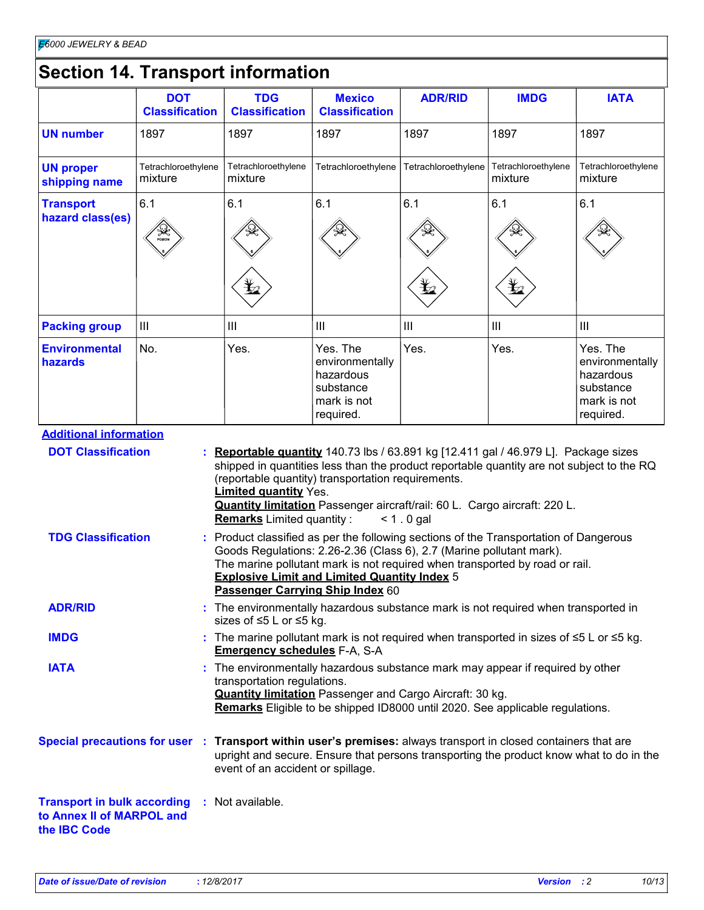# **Section 14. Transport information**

|                                                                                                                 | <b>DOT</b><br><b>Classification</b> | <b>TDG</b><br><b>Classification</b>                              | <b>Mexico</b><br><b>Classification</b>                                                                                                                                                                                                                                                                                                                                                                             | <b>ADR/RID</b>                                    | <b>IMDG</b>                                       | <b>IATA</b>                                                                       |
|-----------------------------------------------------------------------------------------------------------------|-------------------------------------|------------------------------------------------------------------|--------------------------------------------------------------------------------------------------------------------------------------------------------------------------------------------------------------------------------------------------------------------------------------------------------------------------------------------------------------------------------------------------------------------|---------------------------------------------------|---------------------------------------------------|-----------------------------------------------------------------------------------|
| <b>UN number</b>                                                                                                | 1897                                | 1897                                                             | 1897                                                                                                                                                                                                                                                                                                                                                                                                               | 1897                                              | 1897                                              | 1897                                                                              |
| <b>UN proper</b><br>shipping name                                                                               | Tetrachloroethylene<br>mixture      | Tetrachloroethylene<br>mixture                                   | Tetrachloroethylene                                                                                                                                                                                                                                                                                                                                                                                                | Tetrachloroethylene                               | Tetrachloroethylene<br>mixture                    | Tetrachloroethylene<br>mixture                                                    |
| <b>Transport</b><br>hazard class(es)                                                                            | 6.1                                 | 6.1<br>$\bigstar$                                                | 6.1                                                                                                                                                                                                                                                                                                                                                                                                                | 6.1<br>$\mathbf{\mathbf{\mathbf{\mathbf{\Psi}}}}$ | 6.1<br>$\mathbf{\mathbf{\mathbf{\mathbf{\Psi}}}}$ | 6.1                                                                               |
| <b>Packing group</b>                                                                                            | III                                 | III                                                              | III                                                                                                                                                                                                                                                                                                                                                                                                                | $\begin{array}{c} \hline \end{array}$             | $\  \ $                                           | $\mathbf{III}$                                                                    |
| <b>Environmental</b><br>hazards                                                                                 | No.                                 | Yes.                                                             | Yes. The<br>environmentally<br>hazardous<br>substance<br>mark is not<br>required.                                                                                                                                                                                                                                                                                                                                  | Yes.                                              | Yes.                                              | Yes. The<br>environmentally<br>hazardous<br>substance<br>mark is not<br>required. |
| <b>TDG Classification</b>                                                                                       |                                     | <b>Limited quantity Yes.</b><br><b>Remarks</b> Limited quantity: | Quantity limitation Passenger aircraft/rail: 60 L. Cargo aircraft: 220 L.<br>Product classified as per the following sections of the Transportation of Dangerous<br>Goods Regulations: 2.26-2.36 (Class 6), 2.7 (Marine pollutant mark).<br>The marine pollutant mark is not required when transported by road or rail.<br><b>Explosive Limit and Limited Quantity Index 5</b><br>Passenger Carrying Ship Index 60 | $< 1.0$ gal                                       |                                                   |                                                                                   |
| <b>ADR/RID</b>                                                                                                  |                                     | sizes of ≤5 L or ≤5 kg.                                          | : The environmentally hazardous substance mark is not required when transported in                                                                                                                                                                                                                                                                                                                                 |                                                   |                                                   |                                                                                   |
| <b>IMDG</b>                                                                                                     |                                     | <b>Emergency schedules F-A, S-A</b>                              | : The marine pollutant mark is not required when transported in sizes of $\leq$ 5 L or $\leq$ 5 kg.                                                                                                                                                                                                                                                                                                                |                                                   |                                                   |                                                                                   |
| <b>IATA</b>                                                                                                     |                                     | transportation regulations.                                      | : The environmentally hazardous substance mark may appear if required by other<br><b>Quantity limitation</b> Passenger and Cargo Aircraft: 30 kg.<br>Remarks Eligible to be shipped ID8000 until 2020. See applicable regulations.                                                                                                                                                                                 |                                                   |                                                   |                                                                                   |
| Special precautions for user : Transport within user's premises: always transport in closed containers that are |                                     | event of an accident or spillage.                                | upright and secure. Ensure that persons transporting the product know what to do in the                                                                                                                                                                                                                                                                                                                            |                                                   |                                                   |                                                                                   |
| <b>Transport in bulk according</b><br>to Annex II of MARPOL and<br>the IBC Code                                 |                                     | : Not available.                                                 |                                                                                                                                                                                                                                                                                                                                                                                                                    |                                                   |                                                   |                                                                                   |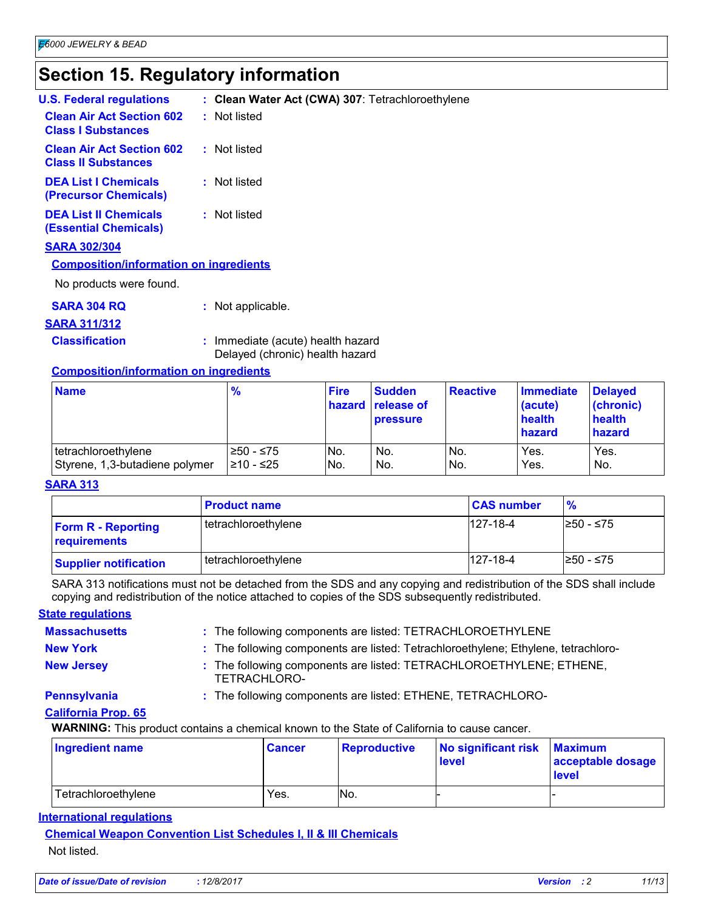# **Section 15. Regulatory information**

| : Clean Water Act (CWA) 307: Tetrachloroethylene |
|--------------------------------------------------|
| : Not listed                                     |
| : Not listed                                     |
| : Not listed                                     |
| : Not listed                                     |
|                                                  |
| <b>Composition/information on ingredients</b>    |
|                                                  |
| Not applicable.                                  |
|                                                  |

#### **SARA 311/312**

**Classification :** Immediate (acute) health hazard Delayed (chronic) health hazard

#### **Composition/information on ingredients**

| <b>Name</b>                    | $\frac{9}{6}$ | <b>Fire</b>       | <b>Sudden</b><br>hazard release of<br><b>pressure</b> | <b>Reactive</b> | <b>Immediate</b><br>(acute)<br>health<br>hazard | <b>Delayed</b><br>(chronic)<br>health<br>hazard |
|--------------------------------|---------------|-------------------|-------------------------------------------------------|-----------------|-------------------------------------------------|-------------------------------------------------|
| tetrachloroethylene            | $≥50 - ≤75$   | No.               | No.                                                   | No.             | Yes.                                            | Yes.                                            |
| Styrene, 1,3-butadiene polymer | l≥10 - ≤25    | IN <sub>O</sub> . | No.                                                   | No.             | Yes.                                            | No.                                             |

#### **SARA 313**

|                                           | <b>Product name</b> | <b>CAS number</b> | $\frac{9}{6}$ |
|-------------------------------------------|---------------------|-------------------|---------------|
| <b>Form R - Reporting</b><br>requirements | tetrachloroethylene | $127 - 18 - 4$    | I≥50 - ≤75    |
| <b>Supplier notification</b>              | tetrachloroethylene | 127-18-4          | I≥50 - ≤75    |

SARA 313 notifications must not be detached from the SDS and any copying and redistribution of the SDS shall include copying and redistribution of the notice attached to copies of the SDS subsequently redistributed.

#### **State regulations**

| <b>Massachusetts</b>       | : The following components are listed: TETRACHLOROETHYLENE                          |
|----------------------------|-------------------------------------------------------------------------------------|
| <b>New York</b>            | : The following components are listed: Tetrachloroethylene; Ethylene, tetrachloro-  |
| <b>New Jersey</b>          | : The following components are listed: TETRACHLOROETHYLENE; ETHENE,<br>TETRACHLORO- |
| <b>Pennsylvania</b>        | : The following components are listed: ETHENE, TETRACHLORO-                         |
| <b>California Prop. 65</b> |                                                                                     |

**WARNING:** This product contains a chemical known to the State of California to cause cancer.

| <b>Ingredient name</b> | <b>Cancer</b> | Reproductive | No significant risk<br><b>level</b> | <b>Maximum</b><br>acceptable dosage<br>level |
|------------------------|---------------|--------------|-------------------------------------|----------------------------------------------|
| Tetrachloroethylene    | Yes.          | INo.         |                                     |                                              |

#### **International regulations**

**Chemical Weapon Convention List Schedules I, II & III Chemicals** Not listed.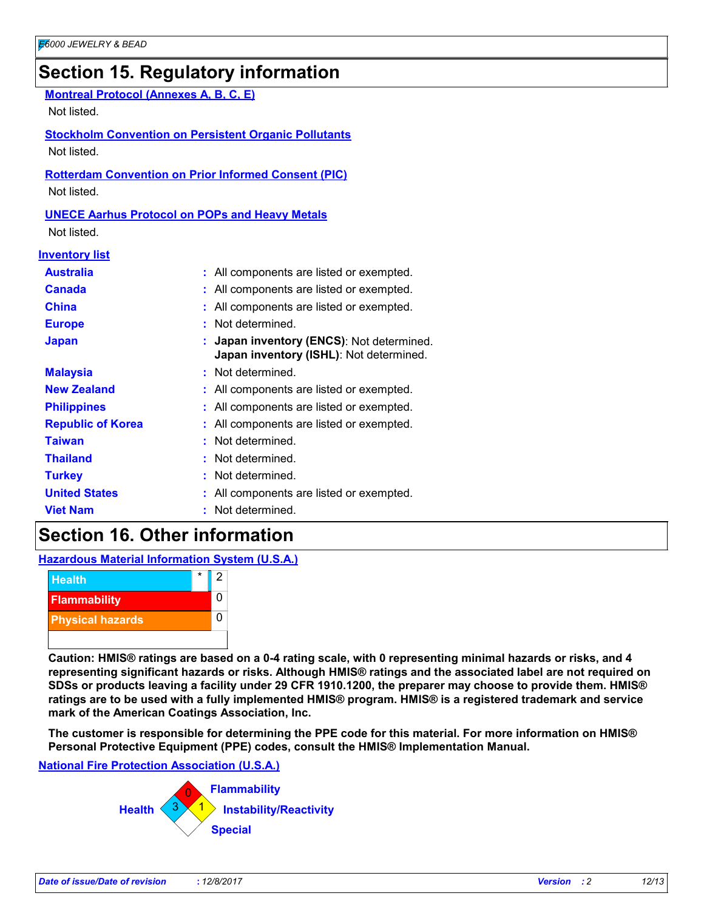# **Section 15. Regulatory information**

| <b>Montreal Protocol (Annexes A, B, C, E)</b><br>Not listed. |                                                                                    |  |
|--------------------------------------------------------------|------------------------------------------------------------------------------------|--|
|                                                              | <b>Stockholm Convention on Persistent Organic Pollutants</b>                       |  |
| Not listed.                                                  |                                                                                    |  |
| Not listed.                                                  | <b>Rotterdam Convention on Prior Informed Consent (PIC)</b>                        |  |
|                                                              | <b>UNECE Aarhus Protocol on POPs and Heavy Metals</b>                              |  |
| Not listed.                                                  |                                                                                    |  |
| <b>Inventory list</b>                                        |                                                                                    |  |
| <b>Australia</b>                                             | : All components are listed or exempted.                                           |  |
| <b>Canada</b>                                                | : All components are listed or exempted.                                           |  |
| <b>China</b>                                                 | : All components are listed or exempted.                                           |  |
| <b>Europe</b>                                                | : Not determined.                                                                  |  |
| <b>Japan</b>                                                 | Japan inventory (ENCS): Not determined.<br>Japan inventory (ISHL): Not determined. |  |
| <b>Malaysia</b>                                              | : Not determined.                                                                  |  |
| <b>New Zealand</b>                                           | : All components are listed or exempted.                                           |  |
| <b>Philippines</b>                                           | : All components are listed or exempted.                                           |  |
| <b>Republic of Korea</b>                                     | : All components are listed or exempted.                                           |  |
| <b>Taiwan</b>                                                | : Not determined.                                                                  |  |
| <b>Thailand</b>                                              | : Not determined.                                                                  |  |
| <b>Turkey</b>                                                | : Not determined.                                                                  |  |
| <b>United States</b>                                         | : All components are listed or exempted.                                           |  |
| <b>Viet Nam</b>                                              | : Not determined.                                                                  |  |

# **Section 16. Other information**

**Hazardous Material Information System (U.S.A.)**



**Caution: HMIS® ratings are based on a 0-4 rating scale, with 0 representing minimal hazards or risks, and 4 representing significant hazards or risks. Although HMIS® ratings and the associated label are not required on SDSs or products leaving a facility under 29 CFR 1910.1200, the preparer may choose to provide them. HMIS® ratings are to be used with a fully implemented HMIS® program. HMIS® is a registered trademark and service mark of the American Coatings Association, Inc.**

**The customer is responsible for determining the PPE code for this material. For more information on HMIS® Personal Protective Equipment (PPE) codes, consult the HMIS® Implementation Manual.**

#### **National Fire Protection Association (U.S.A.)**